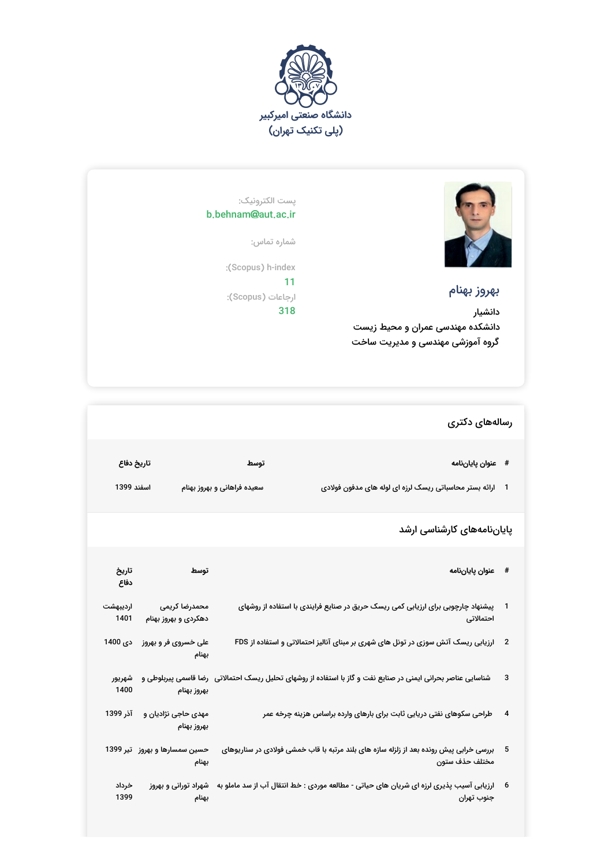



## بهروز بهنام

دانشیار دانشکده مهندسی عمران و محیط زیست گروه آموزشی مهندسی و مدیریت ساخت

## پست الکترونیک: b.behnam@aut.ac.ir

شماره تماس:

:(Scopus) h-index 11 ارجاعات (Scopus): 318

## رسالههای دکتری

| تاريخ دفاع | توسط                        | # عنوان پایاننامه                                           |  |
|------------|-----------------------------|-------------------------------------------------------------|--|
| اسفند 1399 | سعیده فراهانی و بهروز بهنام | 1    ارائه بستر محاسباتی ریسک لرزه ای لوله های مدفون فولادی |  |

## پایاننامههای کارشناسی ارشد

| تاريخ<br>دفاع    | توسط                                     | # عنوان پاياننامه                                                                                              |    |
|------------------|------------------------------------------|----------------------------------------------------------------------------------------------------------------|----|
| ارديبهشت<br>1401 | محمدرضا كريمى<br>دهکردی و بهروز بهنام    | پیشنهاد چارچوبی برای ارزیابی کمی ریسک حریق در صنایع فرایندی با استفاده از روشهای<br>احتمالاتى                  |    |
| دى 1400          | علی خسروی فر و بهروز<br>بهنام            | 2 ٪ ارزیابی ریسک آتش سوزی در تونل های شهری بر مبنای آنالیز احتمالاتی و استفاده از FDS                          |    |
| شهريور<br>1400   | بهروز بهنام                              | شناسایی عناصر بحرانی ایمنی در صنایع نفت و گاز با استفاده از روشهای تحلیل ریسک احتمالاتی   رضا قاسمی پیربلوطی و | 3  |
| آذر 1399         | مهدی حاجی نژادیان و<br>بهروز بهنام       | طراحی سکوهای نفتی دریایی ثابت برای بارهای وارده براساس هزینه چرخه عمر                                          | 4  |
|                  | حسین سمسارها و بهروز   تیر 1399<br>بهنام | بررسی خرابی پیش رونده بعد از زلزله سازه های بلند مرتبه با قاب خمشی فولادی در سناریوهای<br>مختلف حذف ستون       | -5 |
| خرداد<br>1399    | شهراد تورانی و بهروز<br>بهنام            | ارزیابی آسیب پذیری لرزه ای شریان های حیاتی - مطالعه موردی : خط انتقال آب از سد ماملو به<br>جنوب تهران          |    |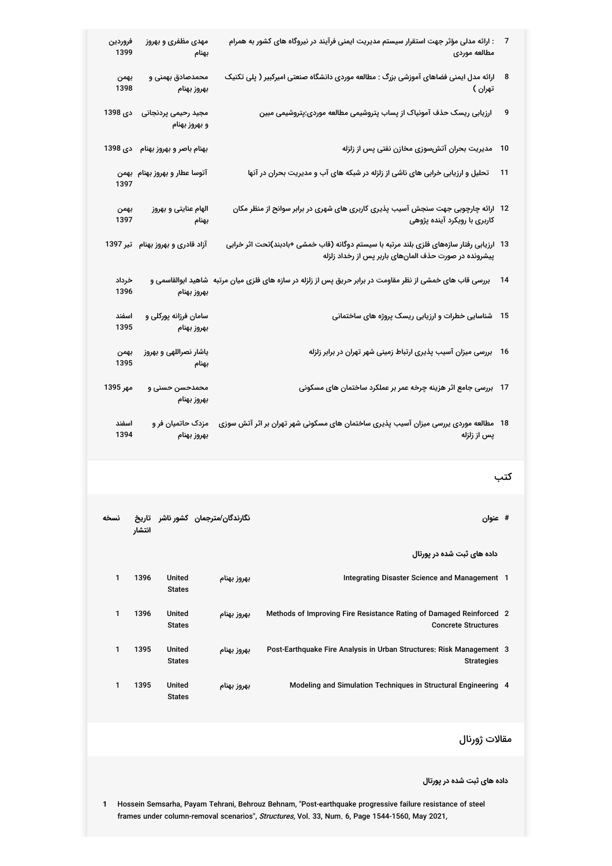| 7    | : ارائه مدلی مؤثر جهت استقرار سیستم مدیریت ایمنی فرآیند در نیروگاه های کشور به همرام<br>مطالعه موردى                                                | مهدی مظفری و بهروز<br>بهنام                 | فروردين<br>1399 |
|------|-----------------------------------------------------------------------------------------------------------------------------------------------------|---------------------------------------------|-----------------|
| 8    | ارائه مدل ایمنی فضاهای آموزشی بزرگ : مطالعه موردی دانشگاه صنعتی امیرکبیر ( پلی تکنیک<br>تهران )                                                     | محمدصادق بهمنی و<br>بهروز بهنام             | بهمن<br>1398    |
| 9    | ارزیابی ریسک حذف آمونیاک از پساب پتروشیمی مطالعه موردی:پتروشیمی مبین                                                                                | مجيد رحيمى پردنجانى<br>و بهروز بهنام        | دى 1398         |
| 10   | مدیریت بحران آتشسوزی مخازن نفتی پس از زلزله                                                                                                         | بهنام باصر و بهروز بهنام دی 1398            |                 |
| 11   | تحلیل و ارزیابی خرابی های ناشی از زلزله در شبکه های آب و مدیریت بحران در آنها                                                                       | آتوسا عطار و بهروز بهنام بهمن               | 1397            |
|      | 12   ارائه چارچوبی جهت سنجش آسیب پذیری کاربری های شهری در برابر سوانح از منظر مکان<br>کاربری با رویکرد آینده پژوهی                                  | الهام عنایتی و بهروز<br>بهنام               | بهمن<br>1397    |
|      | 13   ارزیابی رفتار سازههای فلزی بلند مرتبه با سیستم دوگانه (قاب خمشی +بادبند)تحت اثر خرابی<br>پیشرونده در صورت حذف المانهای باربر پس از رخداد زلزله | آزاد قادری و بهروز بهنام تیر 1397           |                 |
| 14   | بررسی قاب های خمشی از نظر مقاومت در برابر حریق پس از زلزله در سازه های فلزی میان مرتبه  شاهید ابوالقاسمی و                                          | بهروز بهنام                                 | خرداد<br>1396   |
|      | 15 شناسایی خطرات و ارزیابی ریسک پروژه های ساختمانی                                                                                                  | سامان فرزانه پورکلی و<br>بهروز بهنام        | اسفند<br>1395   |
| - 16 | بررسی میزان آسیب پذیری ارتباط زمینی شهر تهران در برابر زلزله                                                                                        | یاشار نصراللهی و بهروز<br>بهنام             | بهمن<br>1395    |
|      | 17   بررسی جامع اثر هزینه چرخه عمر بر عملکرد ساختمان های مسکونی                                                                                     | محمدحسن حسنى و<br>بهروز بهنام               | مهر 1395        |
|      | 18   مطالعه موردی یررسی میزان آسیب پذیری ساختمان های مسکونی شهر تهران بر اثر آتش سوزی<br>پس از زلزله                                                | مزدک حاتمیان فر و<br>بهروز بهنام            | اسفند<br>1394   |
| کتب  |                                                                                                                                                     |                                             |                 |
|      | # عنوان                                                                                                                                             | نگارندگان/مترجمان کشور ناشر تاریخ<br>انتشار | نسخه            |
|      | داده های ثبت شده در پورتال                                                                                                                          |                                             |                 |
|      | Integrating Disaster Science and Management 1<br>بهروز بهنام                                                                                        | 1396<br><b>United</b><br><b>States</b>      | 1               |
|      | Methods of Improving Fire Resistance Rating of Damaged Reinforced 2<br>بهروز بهنام<br><b>Concrete Structures</b>                                    | 1396<br>United<br><b>States</b>             | 1               |
|      | Post-Earthquake Fire Analysis in Urban Structures: Risk Management 3<br>بهروز بهنام<br><b>Strategies</b>                                            | 1395<br>United<br><b>States</b>             | 1               |
|      | Modeling and Simulation Techniques in Structural Engineering 4<br>بهروز بهنام                                                                       | 1395<br>United<br><b>States</b>             | 1               |
|      |                                                                                                                                                     |                                             |                 |

مقالات ژورنال

**داده های ثبت شده در پورتال**

**1** Hossein Semsarha, Payam Tehrani, Behrouz Behnam, "Post-earthquake progressive failure resistance of steel frames under column-removal scenarios", Structures, Vol. 33, Num. 6, Page 1544-1560, May 2021,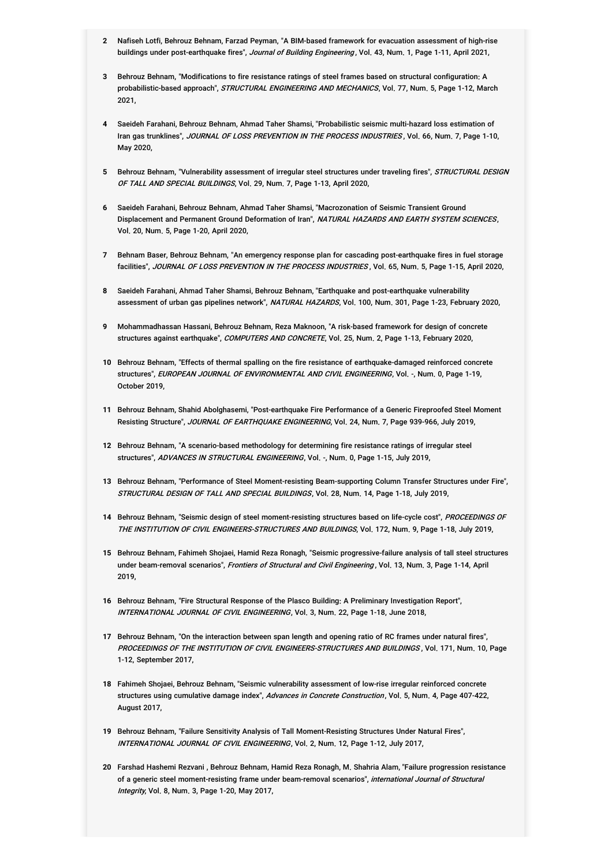- **2** Nafiseh Lotfi, Behrouz Behnam, Farzad Peyman, "A BIM-based framework for evacuation assessment of high-rise buildings under post-earthquake fires", Journal of Building Engineering, Vol. 43, Num. 1, Page 1-11, April 2021,
- **3** Behrouz Behnam, "Modifications to fire resistance ratings of steel frames based on structural configuration: A probabilistic-based approach", *STRUCTURAL ENGINEERING AND MECHANICS*, Vol. 77, Num. 5, Page 1-12, March 2021,
- **4** Saeideh Farahani, Behrouz Behnam, Ahmad Taher Shamsi, "Probabilistic seismic multi-hazard loss estimation of Iran gas trunklines", *JOURNAL OF LOSS PREVENTION IN THE PROCESS INDUSTRIES* , Vol. 66, Num. 7, Page 1-10, May 2020,
- **5** Behrouz Behnam, "Vulnerability assessment of irregular steel structures under traveling fires", STRUCTURAL DESIGN OF TALL AND SPECIAL BUILDINGS, Vol. 29, Num. 7, Page 1-13, April 2020,
- **6** Saeideh Farahani, Behrouz Behnam, Ahmad Taher Shamsi, "Macrozonation of Seismic Transient Ground Displacement and Permanent Ground Deformation of Iran", *NATURAL HAZARDS AND EARTH SYSTEM SCIENCES*, Vol. 20, Num. 5, Page 1-20, April 2020,
- **7** Behnam Baser, Behrouz Behnam, "An emergency response plan for cascading post-earthquake fires in fuel storage facilities". JOURNAL OF LOSS PREVENTION IN THE PROCESS INDUSTRIES, Vol. 65, Num. 5, Page 1-15, April 2020,
- **8** Saeideh Farahani, Ahmad Taher Shamsi, Behrouz Behnam, "Earthquake and post-earthquake vulnerability assessment of urban gas pipelines network", NATURAL HAZARDS, Vol. 100, Num. 301, Page 1-23, February 2020,
- **9** Mohammadhassan Hassani, Behrouz Behnam, Reza Maknoon, "A risk-based framework for design of concrete structures against earthquake", COMPUTERS AND CONCRETE, Vol. 25, Num. 2, Page 1-13, February 2020,
- **10** Behrouz Behnam, "Effects of thermal spalling on the fire resistance of earthquake-damaged reinforced concrete structures", *EUROPEAN JOURNAL OF ENVIRONMENTAL AND CIVIL ENGINEERING*, Vol. -, Num. 0, Page 1-19, October 2019,
- **11** Behrouz Behnam, Shahid Abolghasemi, "Post-earthquake Fire Performance of a Generic Fireproofed Steel Moment Resisting Structure", JOURNAL OF EARTHQUAKE ENGINEERING, Vol. 24, Num. 7, Page 939-966, July 2019,
- **12** Behrouz Behnam, "A scenario-based methodology for determining fire resistance ratings of irregular steel structures", ADVANCES IN STRUCTURAL ENGINEERING, Vol. -, Num. 0, Page 1-15, July 2019,
- **13** Behrouz Behnam, "Performance of Steel Moment-resisting Beam-supporting Column Transfer Structures under Fire", STRUCTURAL DESIGN OF TALL AND SPECIAL BUILDINGS, Vol. 28, Num. 14, Page 1-18, July 2019,
- **14** Behrouz Behnam, "Seismic design of steel moment-resisting structures based on life-cycle cost", PROCEEDINGS OF THE INSTITUTION OF CIVIL ENGINEERS-STRUCTURES AND BUILDINGS, Vol. 172, Num. 9, Page 1-18, July 2019,
- **15** Behrouz Behnam, Fahimeh Shojaei, Hamid Reza Ronagh, "Seismic progressive-failure analysis of tall steel structures under beam-removal scenarios", *Frontiers of Structural and Civil Engineering* , Vol. 13, Num. 3, Page 1-14, April 2019,
- **16** Behrouz Behnam, "Fire Structural Response of the Plasco Building: A Preliminary Investigation Report", INTERNATIONAL JOURNAL OF CIVIL ENGINEERING, Vol. 3, Num. 22, Page 1-18, June 2018,
- **17** Behrouz Behnam, "On the interaction between span length and opening ratio of RC frames under natural fires", PROCEEDINGS OF THE INSTITUTION OF CIVIL ENGINEERS-STRUCTURES AND BUILDINGS , Vol. 171, Num. 10, Page 1-12, September 2017,
- **18** Fahimeh Shojaei, Behrouz Behnam, "Seismic vulnerability assessment of low-rise irregular reinforced concrete structures using cumulative damage index", *Advances in Concrete Construction* , Vol. 5, Num. 4, Page 407-422, August 2017,
- **19** Behrouz Behnam, "Failure Sensitivity Analysis of Tall Moment-Resisting Structures Under Natural Fires", INTERNATIONAL JOURNAL OF CIVIL ENGINEERING, Vol. 2, Num. 12, Page 1-12, July 2017,
- **20** Farshad Hashemi Rezvani , Behrouz Behnam, Hamid Reza Ronagh, M. Shahria Alam, "Failure progression resistance of a generic steel moment-resisting frame under beam-removal scenarios", *international Journal of Structural Integrity*, Vol. 8, Num. 3, Page 1-20, May 2017,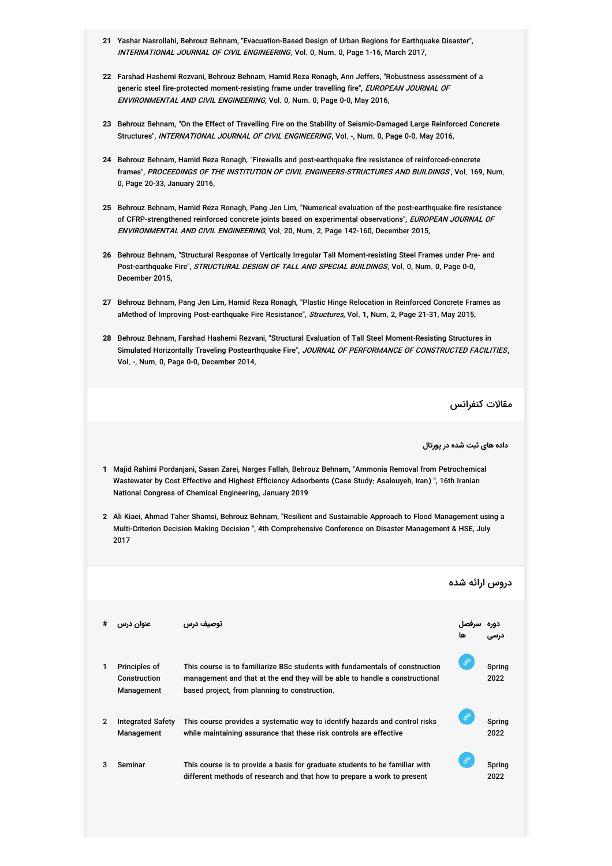- **21** Yashar Nasrollahi, Behrouz Behnam, "Evacuation-Based Design of Urban Regions for Earthquake Disaster", INTERNATIONAL JOURNAL OF CIVIL ENGINEERING, Vol. 0, Num. 0, Page 1-16, March 2017,
- **22** Farshad Hashemi Rezvani, Behrouz Behnam, Hamid Reza Ronagh, Ann Jeffers, "Robustness assessment of a generic steel fire-protected moment-resisting frame under travelling fire", *EUROPEAN JOURNAL OF ENVIRONMENTAL AND CIVIL ENGINEERING*, Vol. 0, Num. 0, Page 0-0, May 2016,
- **23** Behrouz Behnam, "On the Effect of Travelling Fire on the Stability of Seismic-Damaged Large Reinforced Concrete Structures", INTERNATIONAL JOURNAL OF CIVIL ENGINEERING, Vol. -, Num. 0, Page 0-0, May 2016,
- **24** Behrouz Behnam, Hamid Reza Ronagh, "Firewalls and post-earthquake fire resistance of reinforced-concrete frames", *PROCEEDINGS OF THE INSTITUTION OF CIVIL ENGINEERS-STRUCTURES AND BUILDINGS* , Vol. 169, Num. 0, Page 20-33, January 2016,
- **25** Behrouz Behnam, Hamid Reza Ronagh, Pang Jen Lim, "Numerical evaluation of the post-earthquake fire resistance of CFRP-strengthened reinforced concrete joints based on experimental observations", *EUROPEAN JOURNAL OF* EN*VIRONMENTAL AND CIVIL ENGINEERING*, Vol. 20, Num. 2, Page 142-160, December 2015,
- **26** Behrouz Behnam, "Structural Response of Vertically Irregular Tall Moment-resisting Steel Frames under Pre- and Post-earthquake Fire", *STRUCTURAL DESIGN OF TALL AND SPECIAL BUILDINGS*, Vol. 0, Num. 0, Page 0-0, December 2015,
- **27** Behrouz Behnam, Pang Jen Lim, Hamid Reza Ronagh, "Plastic Hinge Relocation in Reinforced Concrete Frames as aMethod of Improving Post-earthquake Fire Resistance", Structures, Vol. 1, Num. 2, Page 21-31, May 2015,
- **28** Behrouz Behnam, Farshad Hashemi Rezvani, "Structural Evaluation of Tall Steel Moment-Resisting Structures in Simulated Horizontally Traveling Postearthquake Fire", *JOURNAL OF PERFORMANCE OF CONSTRUCTED FACILITIES*, Vol. -, Num. 0, Page 0-0, December 2014,

مقالات کنفرانس

**داده های ثبت شده در پورتال**

- **1** Majid Rahimi Pordanjani, Sasan Zarei, Narges Fallah, Behrouz Behnam, "Ammonia Removal from Petrochemical Wastewater by Cost Effective and Highest Efficiency Adsorbents (Case Study: Asalouyeh, Iran) ", 16th Iranian National Congress of Chemical Engineering, January 2019
- **2** Ali Kiaei, Ahmad Taher Shamsi, Behrouz Behnam, "Resilient and Sustainable Approach to Flood Management using a Multi-Criterion Decision Making Decision ", 4th Comprehensive Conference on Disaster Management & HSE, July 2017

|                |                                             |                                                                                                                                                                                                              | دروس ارائه شده |                |
|----------------|---------------------------------------------|--------------------------------------------------------------------------------------------------------------------------------------------------------------------------------------------------------------|----------------|----------------|
| #              | عنوان درس                                   | توصيف درس                                                                                                                                                                                                    |                |                |
|                | Principles of<br>Construction<br>Management | This course is to familiarize BSc students with fundamentals of construction<br>management and that at the end they will be able to handle a constructional<br>based project, from planning to construction. | ℰ              | Spring<br>2022 |
| $\overline{2}$ | <b>Integrated Safety</b><br>Management      | This course provides a systematic way to identify hazards and control risks<br>while maintaining assurance that these risk controls are effective                                                            | P              | Spring<br>2022 |
| 3              | Seminar                                     | This course is to provide a basis for graduate students to be familiar with<br>different methods of research and that how to prepare a work to present                                                       | ℰ              | Spring<br>2022 |